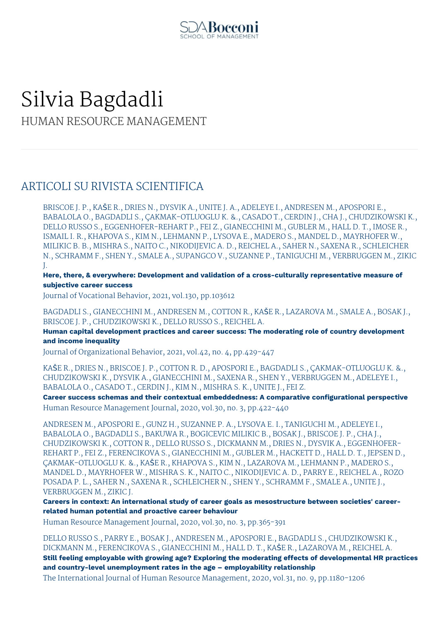

# Silvia Bagdadli HUMAN RESOURCE MANAGEMENT

### ARTICOLI SU RIVISTA SCIENTIFICA

BRISCOE J. P., KAŠE R., DRIES N., DYSVIK A., UNITE J. A., ADELEYE I., ANDRESEN M., APOSPORI E., BABALOLA O., BAGDADLI S., ÇAKMAK-OTLUOGLU K. &., CASADO T., CERDIN J., CHA J., CHUDZIKOWSKI K., DELLO RUSSO S., EGGENHOFER-REHART P., FEI Z., GIANECCHINI M., GUBLER M., HALL D. T., IMOSE R., ISMAIL I. R., KHAPOVA S., KIM N., LEHMANN P., LYSOVA E., MADERO S., MANDEL D., MAYRHOFER W., MILIKIC B. B., MISHRA S., NAITO C., NIKODIJEVIC A. D., REICHEL A., SAHER N., SAXENA R., SCHLEICHER N., SCHRAMM F., SHEN Y., SMALE A., SUPANGCO V., SUZANNE P., TANIGUCHI M., VERBRUGGEN M., ZIKIC J.

**Here, there, & everywhere: Development and validation of a cross-culturally representative measure of subjective career success**

Journal of Vocational Behavior, 2021, vol.130, pp.103612

BAGDADLI S., GIANECCHINI M., ANDRESEN M., COTTON R., KAŠE R., LAZAROVA M., SMALE A., BOSAK J., BRISCOE J. P., CHUDZIKOWSKI K., DELLO RUSSO S., REICHEL A.

**Human capital development practices and career success: The moderating role of country development and income inequality**

Journal of Organizational Behavior, 2021, vol.42, no. 4, pp.429-447

KAŠE R., DRIES N., BRISCOE J. P., COTTON R. D., APOSPORI E., BAGDADLI S., ÇAKMAK-OTLUOGLU K. &., CHUDZIKOWSKI K., DYSVIK A., GIANECCHINI M., SAXENA R., SHEN Y., VERBRUGGEN M., ADELEYE I., BABALOLA O., CASADO T., CERDIN J., KIM N., MISHRA S. K., UNITE J., FEI Z.

**Career success schemas and their contextual embeddedness: A comparative configurational perspective** Human Resource Management Journal, 2020, vol.30, no. 3, pp.422-440

ANDRESEN M., APOSPORI E., GUNZ H., SUZANNE P. A., LYSOVA E. I., TANIGUCHI M., ADELEYE I., BABALOLA O., BAGDADLI S., BAKUWA R., BOGICEVIC MILIKIC B., BOSAK J., BRISCOE J. P., CHA J., CHUDZIKOWSKI K., COTTON R., DELLO RUSSO S., DICKMANN M., DRIES N., DYSVIK A., EGGENHOFER-REHART P., FEI Z., FERENCIKOVA S., GIANECCHINI M., GUBLER M., HACKETT D., HALL D. T., JEPSEN D., ÇAKMAK-OTLUOGLU K. &., KAŠE R., KHAPOVA S., KIM N., LAZAROVA M., LEHMANN P., MADERO S., MANDEL D., MAYRHOFER W., MISHRA S. K., NAITO C., NIKODIJEVIC A. D., PARRY E., REICHEL A., ROZO POSADA P. L., SAHER N., SAXENA R., SCHLEICHER N., SHEN Y., SCHRAMM F., SMALE A., UNITE J., VERBRUGGEN M., ZIKIC J.

**Careers in context: An international study of career goals as mesostructure between societies' careerrelated human potential and proactive career behaviour**

Human Resource Management Journal, 2020, vol.30, no. 3, pp.365-391

DELLO RUSSO S., PARRY E., BOSAK J., ANDRESEN M., APOSPORI E., BAGDADLI S., CHUDZIKOWSKI K., DICKMANN M., FERENCIKOVA S., GIANECCHINI M., HALL D. T., KAŠE R., LAZAROVA M., REICHEL A. **Still feeling employable with growing age? Exploring the moderating effects of developmental HR practices and country-level unemployment rates in the age – employability relationship** The International Journal of Human Resource Management, 2020, vol.31, no. 9, pp.1180-1206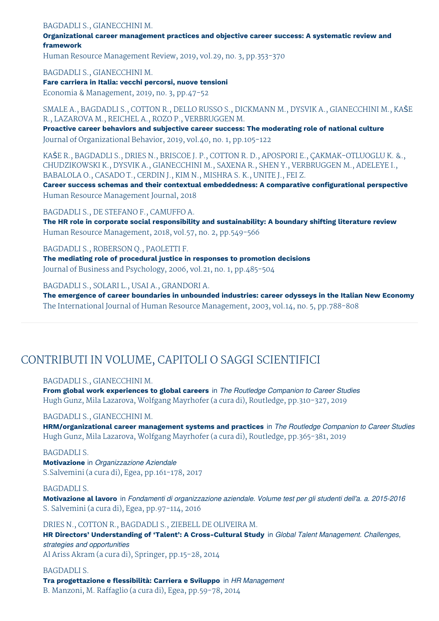#### BAGDADLI S., GIANECCHINI M.

**Organizational career management practices and objective career success: A systematic review and framework**

Human Resource Management Review, 2019, vol.29, no. 3, pp.353-370

BAGDADLI S., GIANECCHINI M.

**Fare carriera in Italia: vecchi percorsi, nuove tensioni**

Economia & Management, 2019, no. 3, pp.47-52

SMALE A., BAGDADLI S., COTTON R., DELLO RUSSO S., DICKMANN M., DYSVIK A., GIANECCHINI M., KAŠE R., LAZAROVA M., REICHEL A., ROZO P., VERBRUGGEN M.

**Proactive career behaviors and subjective career success: The moderating role of national culture** Journal of Organizational Behavior, 2019, vol.40, no. 1, pp.105-122

KAŠE R., BAGDADLI S., DRIES N., BRISCOE J. P., COTTON R. D., APOSPORI E., ÇAKMAK-OTLUOGLU K. &., CHUDZIKOWSKI K., DYSVIK A., GIANECCHINI M., SAXENA R., SHEN Y., VERBRUGGEN M., ADELEYE I., BABALOLA O., CASADO T., CERDIN J., KIM N., MISHRA S. K., UNITE J., FEI Z.

**Career success schemas and their contextual embeddedness: A comparative configurational perspective** Human Resource Management Journal, 2018

BAGDADLI S., DE STEFANO F., CAMUFFO A.

**The HR role in corporate social responsibility and sustainability: A boundary shifting literature review** Human Resource Management, 2018, vol.57, no. 2, pp.549-566

BAGDADLI S., ROBERSON Q., PAOLETTI F. **The mediating role of procedural justice in responses to promotion decisions** Journal of Business and Psychology, 2006, vol.21, no. 1, pp.485-504

BAGDADLI S., SOLARI L., USAI A., GRANDORI A.

**The emergence of career boundaries in unbounded industries: career odysseys in the Italian New Economy** The International Journal of Human Resource Management, 2003, vol.14, no. 5, pp.788-808

### CONTRIBUTI IN VOLUME, CAPITOLI O SAGGI SCIENTIFICI

BAGDADLI S., GIANECCHINI M.

**From global work experiences to global careers** in *The Routledge Companion to Career Studies* Hugh Gunz, Mila Lazarova, Wolfgang Mayrhofer (a cura di), Routledge, pp.310-327, 2019

### BAGDADLI S., GIANECCHINI M.

**HRM/organizational career management systems and practices** in *The Routledge Companion to Career Studies* Hugh Gunz, Mila Lazarova, Wolfgang Mayrhofer (a cura di), Routledge, pp.365-381, 2019

#### BAGDADLI S.

**Motivazione** in *Organizzazione Aziendale* S.Salvemini (a cura di), Egea, pp.161-178, 2017

#### BAGDADLI S.

**Motivazione al lavoro** in *Fondamenti di organizzazione aziendale. Volume test per gli studenti dell'a. a. 2015-2016* S. Salvemini (a cura di), Egea, pp.97-114, 2016

DRIES N., COTTON R., BAGDADLI S., ZIEBELL DE OLIVEIRA M.

**HR Directors' Understanding of 'Talent': A Cross-Cultural Study** in *Global Talent Management. Challenges, strategies and opportunities* Al Ariss Akram (a cura di), Springer, pp.15-28, 2014

BAGDADLI S. **Tra progettazione e flessibilità: Carriera e Sviluppo** in *HR Management* B. Manzoni, M. Raffaglio (a cura di), Egea, pp.59-78, 2014